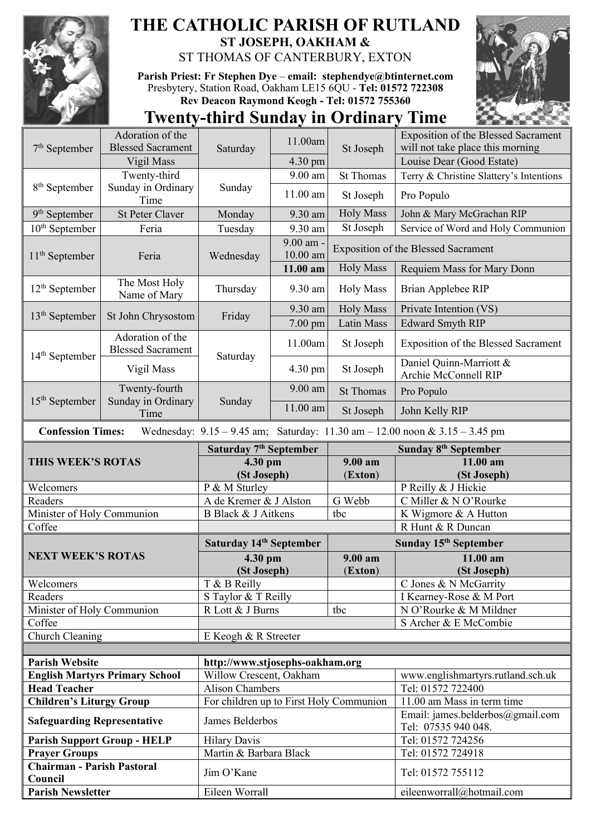

## **THE CATHOLIC PARISH OF RUTLAND ST JOSEPH, OAKHAM &**  ST THOMAS OF CANTERBURY, EXTON

**Parish Priest: Fr Stephen Dye** – **[email: stephendye@btinternet.com](mailto:email:%20%20stephendye@btinternet.com)** Presbytery, Station Road, Oakham LE15 6QU - **Tel: 01572 722308 Rev Deacon Raymond Keogh - Tel: 01572 755360**



## **Twenty-third Sunday in Ordinary Time**

| $7th$ September                                                                                                 | Adoration of the<br><b>Blessed Sacrament</b> |                                         | 11.00am                             | St Joseph                                  | <b>Exposition of the Blessed Sacrament</b>              |  |
|-----------------------------------------------------------------------------------------------------------------|----------------------------------------------|-----------------------------------------|-------------------------------------|--------------------------------------------|---------------------------------------------------------|--|
|                                                                                                                 |                                              | Saturday                                |                                     |                                            | will not take place this morning                        |  |
| 8 <sup>th</sup> September                                                                                       | Vigil Mass                                   | Sunday                                  | 4.30 pm<br>9.00 am                  |                                            | Louise Dear (Good Estate)                               |  |
|                                                                                                                 | Twenty-third<br>Sunday in Ordinary           |                                         | 11.00 am                            | <b>St Thomas</b><br>St Joseph              | Terry & Christine Slattery's Intentions<br>Pro Populo   |  |
|                                                                                                                 | Time                                         |                                         |                                     | <b>Holy Mass</b>                           |                                                         |  |
| $9th$ September                                                                                                 | <b>St Peter Claver</b>                       | Monday                                  | 9.30 am                             |                                            | John & Mary McGrachan RIP                               |  |
| $10th$ September                                                                                                | Feria                                        | Tuesday                                 | 9.30 am                             | St Joseph                                  | Service of Word and Holy Communion                      |  |
| $11th$ September                                                                                                | Feria                                        | Wednesday                               | 9.00 am -<br>10.00 am               | <b>Exposition of the Blessed Sacrament</b> |                                                         |  |
|                                                                                                                 |                                              |                                         | 11.00 am                            | <b>Holy Mass</b>                           | Requiem Mass for Mary Donn                              |  |
| $12th$ September                                                                                                | The Most Holy<br>Name of Mary                | Thursday                                | 9.30 am                             | <b>Holy Mass</b>                           | Brian Applebee RIP                                      |  |
|                                                                                                                 |                                              | Friday                                  | 9.30 am                             | <b>Holy Mass</b>                           | Private Intention (VS)                                  |  |
| $13th$ September                                                                                                | St John Chrysostom                           |                                         | $7.00$ pm                           | Latin Mass                                 | <b>Edward Smyth RIP</b>                                 |  |
| $14th$ September                                                                                                | Adoration of the<br><b>Blessed Sacrament</b> | Saturday                                | 11.00am                             | St Joseph                                  | <b>Exposition of the Blessed Sacrament</b>              |  |
|                                                                                                                 | Vigil Mass                                   |                                         | 4.30 pm                             | St Joseph                                  | Daniel Quinn-Marriott &<br>Archie McConnell RIP         |  |
| $15th$ September                                                                                                | Twenty-fourth<br>Sunday in Ordinary<br>Time  | Sunday                                  | 9.00 am                             | <b>St Thomas</b>                           | Pro Populo                                              |  |
|                                                                                                                 |                                              |                                         | $11.00$ am                          | St Joseph                                  | John Kelly RIP                                          |  |
| <b>Confession Times:</b><br>Wednesday: $9.15 - 9.45$ am; Saturday: $11.30$ am $- 12.00$ noon & $3.15 - 3.45$ pm |                                              |                                         |                                     |                                            |                                                         |  |
| THIS WEEK'S ROTAS                                                                                               |                                              | Saturday 7 <sup>th</sup> September      |                                     |                                            | Sunday 8 <sup>th</sup> September                        |  |
|                                                                                                                 |                                              | 4.30 pm                                 |                                     | 9.00 am                                    | 11.00 am                                                |  |
|                                                                                                                 |                                              | (St Joseph)                             |                                     | (Exton)                                    | (St Joseph)                                             |  |
| Welcomers                                                                                                       |                                              | P & M Sturley                           |                                     |                                            | P Reilly & J Hickie                                     |  |
| Readers                                                                                                         |                                              | A de Kremer & J Alston                  |                                     | G Webb                                     | C Miller & N O'Rourke                                   |  |
| Minister of Holy Communion                                                                                      |                                              | B Black & J Aitkens                     |                                     | tbc                                        | K Wigmore & A Hutton                                    |  |
| Coffee                                                                                                          |                                              |                                         |                                     |                                            | R Hunt & R Duncan                                       |  |
|                                                                                                                 |                                              |                                         | Saturday 14 <sup>th</sup> September |                                            | Sunday 15 <sup>th</sup> September                       |  |
| <b>NEXT WEEK'S ROTAS</b>                                                                                        |                                              | 4.30 pm                                 |                                     | 9.00 am                                    | 11.00 am                                                |  |
|                                                                                                                 |                                              | (St Joseph)                             |                                     | (Exton)                                    | (St Joseph)                                             |  |
| Welcomers                                                                                                       |                                              | T & B Reilly                            |                                     |                                            | C Jones & N McGarrity                                   |  |
| Readers                                                                                                         |                                              | S Taylor & T Reilly                     |                                     |                                            | I Kearney-Rose & M Port                                 |  |
| Minister of Holy Communion                                                                                      |                                              | R Lott & J Burns                        |                                     | tbc                                        | N O'Rourke & M Mildner                                  |  |
| Coffee                                                                                                          |                                              |                                         |                                     |                                            | S Archer & E McCombie                                   |  |
| Church Cleaning                                                                                                 |                                              | E Keogh & R Streeter                    |                                     |                                            |                                                         |  |
|                                                                                                                 |                                              |                                         |                                     |                                            |                                                         |  |
| <b>Parish Website</b>                                                                                           |                                              | http://www.stjosephs-oakham.org         |                                     |                                            |                                                         |  |
| <b>English Martyrs Primary School</b>                                                                           |                                              |                                         |                                     |                                            |                                                         |  |
| <b>Head Teacher</b>                                                                                             |                                              | Willow Crescent, Oakham                 |                                     |                                            | www.englishmartyrs.rutland.sch.uk                       |  |
|                                                                                                                 |                                              | <b>Alison Chambers</b>                  |                                     |                                            | Tel: 01572 722400                                       |  |
| <b>Children's Liturgy Group</b>                                                                                 |                                              | For children up to First Holy Communion |                                     |                                            | 11.00 am Mass in term time                              |  |
| <b>Safeguarding Representative</b>                                                                              |                                              | James Belderbos                         |                                     |                                            | Email: james.belderbos@gmail.com<br>Tel: 07535 940 048. |  |
| <b>Parish Support Group - HELP</b>                                                                              |                                              | <b>Hilary Davis</b>                     |                                     |                                            | Tel: 01572 724256                                       |  |
| <b>Prayer Groups</b>                                                                                            |                                              | Martin & Barbara Black                  |                                     |                                            | Tel: 01572 724918                                       |  |
| <b>Chairman - Parish Pastoral</b><br>Council                                                                    |                                              | Jim O'Kane                              |                                     |                                            | Tel: 01572 755112                                       |  |